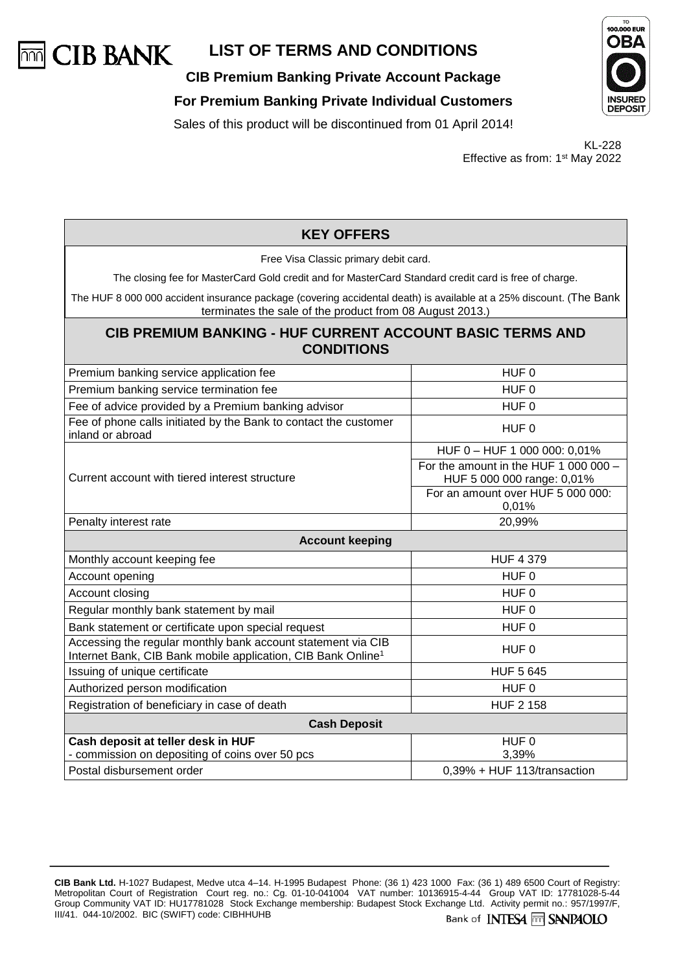

**CIB Premium Banking Private Account Package**

#### **For Premium Banking Private Individual Customers**

Sales of this product will be discontinued from 01 April 2014!

KL-228 Effective as from: 1st May 2022

| <b>KEY OFFERS</b>                                                                                                                                                              |                                                                     |  |
|--------------------------------------------------------------------------------------------------------------------------------------------------------------------------------|---------------------------------------------------------------------|--|
| Free Visa Classic primary debit card.                                                                                                                                          |                                                                     |  |
| The closing fee for MasterCard Gold credit and for MasterCard Standard credit card is free of charge.                                                                          |                                                                     |  |
| The HUF 8 000 000 accident insurance package (covering accidental death) is available at a 25% discount. (The Bank<br>terminates the sale of the product from 08 August 2013.) |                                                                     |  |
| <b>CIB PREMIUM BANKING - HUF CURRENT ACCOUNT BASIC TERMS AND</b><br><b>CONDITIONS</b>                                                                                          |                                                                     |  |
| Premium banking service application fee                                                                                                                                        | HUF <sub>0</sub>                                                    |  |
| Premium banking service termination fee                                                                                                                                        | HUF <sub>0</sub>                                                    |  |
| Fee of advice provided by a Premium banking advisor                                                                                                                            | HUF 0                                                               |  |
| Fee of phone calls initiated by the Bank to contact the customer<br>inland or abroad                                                                                           | HUF 0                                                               |  |
|                                                                                                                                                                                | HUF 0 - HUF 1 000 000: 0,01%                                        |  |
| Current account with tiered interest structure                                                                                                                                 | For the amount in the HUF 1 000 000 -<br>HUF 5 000 000 range: 0,01% |  |
|                                                                                                                                                                                | For an amount over HUF 5 000 000:<br>0,01%                          |  |
| Penalty interest rate                                                                                                                                                          | 20,99%                                                              |  |
| <b>Account keeping</b>                                                                                                                                                         |                                                                     |  |
| Monthly account keeping fee                                                                                                                                                    | <b>HUF 4 379</b>                                                    |  |
| Account opening                                                                                                                                                                | HUF <sub>0</sub>                                                    |  |
| Account closing                                                                                                                                                                | HUF <sub>0</sub>                                                    |  |
| Regular monthly bank statement by mail                                                                                                                                         | HUF <sub>0</sub>                                                    |  |
| Bank statement or certificate upon special request                                                                                                                             | HUF <sub>0</sub>                                                    |  |
| Accessing the regular monthly bank account statement via CIB<br>Internet Bank, CIB Bank mobile application, CIB Bank Online <sup>1</sup>                                       | HUF <sub>0</sub>                                                    |  |
| Issuing of unique certificate                                                                                                                                                  | <b>HUF 5 645</b>                                                    |  |
| Authorized person modification                                                                                                                                                 | HUF <sub>0</sub>                                                    |  |
| Registration of beneficiary in case of death                                                                                                                                   | <b>HUF 2 158</b>                                                    |  |
| <b>Cash Deposit</b>                                                                                                                                                            |                                                                     |  |
| Cash deposit at teller desk in HUF                                                                                                                                             | HUF <sub>0</sub>                                                    |  |
| - commission on depositing of coins over 50 pcs                                                                                                                                | 3,39%                                                               |  |
| Postal disbursement order                                                                                                                                                      | 0,39% + HUF 113/transaction                                         |  |



**CIB Bank Ltd.** H-1027 Budapest, Medve utca 4–14. H-1995 Budapest Phone: (36 1) 423 1000 Fax: (36 1) 489 6500 Court of Registry: Metropolitan Court of Registration Court reg. no.: Cg. 01-10-041004 VAT number: 10136915-4-44 Group VAT ID: 17781028-5-44 Group Community VAT ID: HU17781028 Stock Exchange membership: Budapest Stock Exchange Ltd. Activity permit no.: 957/1997/F, III/41. 044-10/2002. BIC (SWIFT) code: CIBHHUHB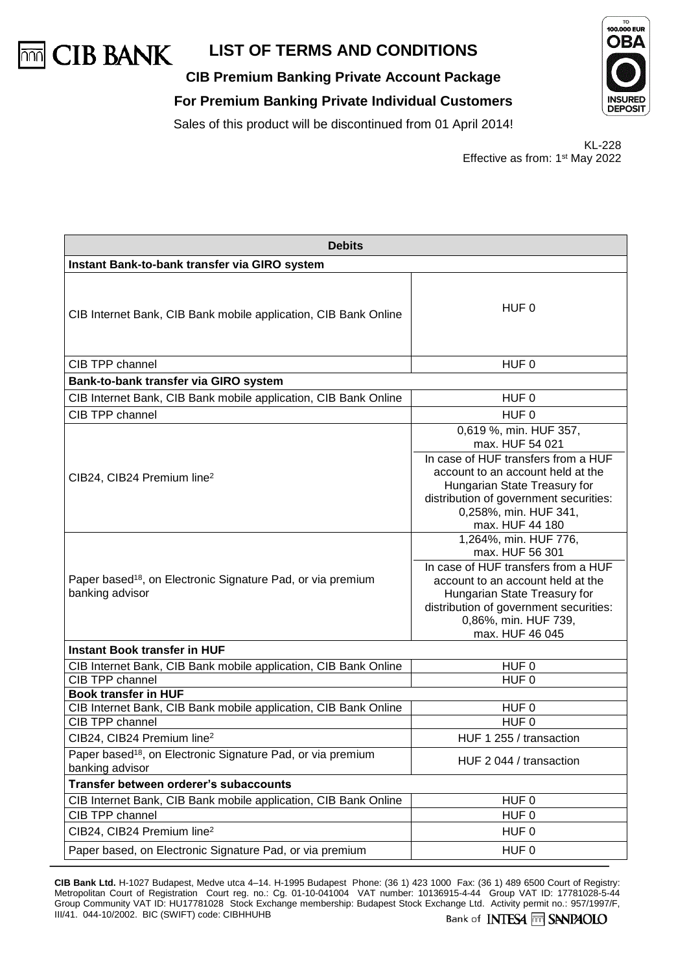

**CIB Premium Banking Private Account Package**

**For Premium Banking Private Individual Customers**

Sales of this product will be discontinued from 01 April 2014!



KL-228 Effective as from: 1st May 2022

| <b>Debits</b>                                                                                                     |                                                                                                                                                                                                                                             |  |
|-------------------------------------------------------------------------------------------------------------------|---------------------------------------------------------------------------------------------------------------------------------------------------------------------------------------------------------------------------------------------|--|
| Instant Bank-to-bank transfer via GIRO system                                                                     |                                                                                                                                                                                                                                             |  |
| CIB Internet Bank, CIB Bank mobile application, CIB Bank Online                                                   | HUF 0                                                                                                                                                                                                                                       |  |
| CIB TPP channel                                                                                                   | HUF 0                                                                                                                                                                                                                                       |  |
| Bank-to-bank transfer via GIRO system                                                                             |                                                                                                                                                                                                                                             |  |
| CIB Internet Bank, CIB Bank mobile application, CIB Bank Online                                                   | HUF 0                                                                                                                                                                                                                                       |  |
| CIB TPP channel                                                                                                   | HUF <sub>0</sub>                                                                                                                                                                                                                            |  |
| CIB24, CIB24 Premium line <sup>2</sup>                                                                            | 0,619 %, min. HUF 357,<br>max. HUF 54 021<br>In case of HUF transfers from a HUF<br>account to an account held at the<br>Hungarian State Treasury for<br>distribution of government securities:<br>0,258%, min. HUF 341,<br>max. HUF 44 180 |  |
| Paper based <sup>18</sup> , on Electronic Signature Pad, or via premium<br>banking advisor                        | 1,264%, min. HUF 776,<br>max. HUF 56 301<br>In case of HUF transfers from a HUF<br>account to an account held at the<br>Hungarian State Treasury for<br>distribution of government securities:<br>0,86%, min. HUF 739,<br>max. HUF 46 045   |  |
| <b>Instant Book transfer in HUF</b>                                                                               |                                                                                                                                                                                                                                             |  |
| CIB Internet Bank, CIB Bank mobile application, CIB Bank Online<br>CIB TPP channel<br><b>Book transfer in HUF</b> | HUF <sub>0</sub><br>HUF <sub>0</sub>                                                                                                                                                                                                        |  |
| CIB Internet Bank, CIB Bank mobile application, CIB Bank Online                                                   | HUF <sub>0</sub>                                                                                                                                                                                                                            |  |
| CIB TPP channel                                                                                                   | $HUF$ <sub>0</sub>                                                                                                                                                                                                                          |  |
| CIB24, CIB24 Premium line <sup>2</sup>                                                                            | HUF 1 255 / transaction                                                                                                                                                                                                                     |  |
| Paper based <sup>18</sup> , on Electronic Signature Pad, or via premium<br>banking advisor                        | HUF 2 044 / transaction                                                                                                                                                                                                                     |  |
| Transfer between orderer's subaccounts                                                                            |                                                                                                                                                                                                                                             |  |
| CIB Internet Bank, CIB Bank mobile application, CIB Bank Online                                                   | HUF <sub>0</sub>                                                                                                                                                                                                                            |  |
| CIB TPP channel                                                                                                   | HUF <sub>0</sub>                                                                                                                                                                                                                            |  |
| CIB24, CIB24 Premium line <sup>2</sup>                                                                            | HUF <sub>0</sub>                                                                                                                                                                                                                            |  |
| Paper based, on Electronic Signature Pad, or via premium                                                          | HUF <sub>0</sub>                                                                                                                                                                                                                            |  |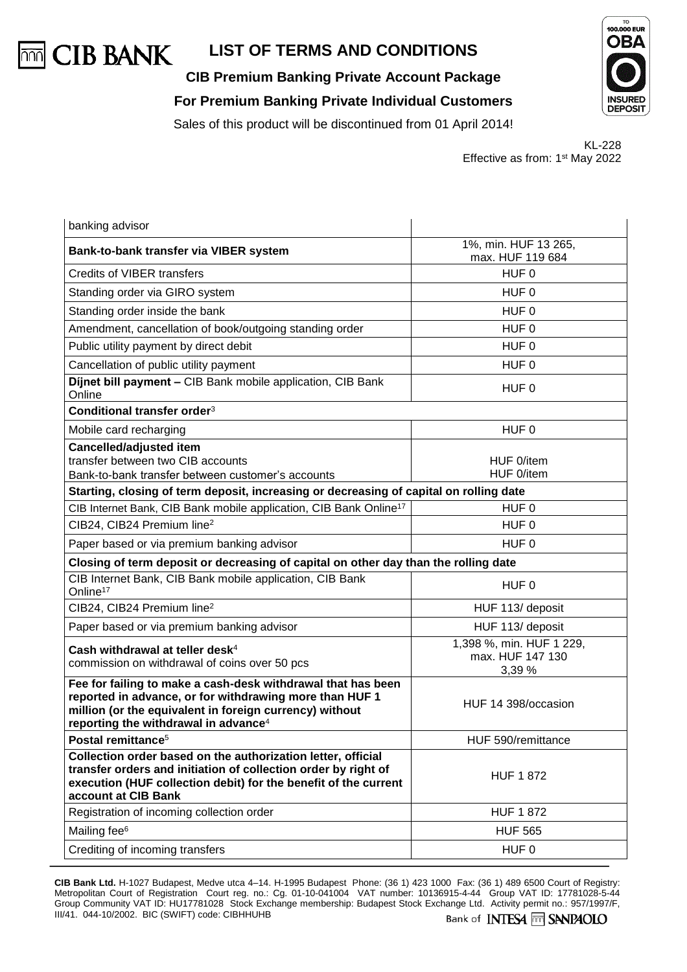

**CIB Premium Banking Private Account Package For Premium Banking Private Individual Customers**



Sales of this product will be discontinued from 01 April 2014!

KL-228 Effective as from: 1st May 2022

| banking advisor                                                                                                                                                                                                                        |                                                        |  |
|----------------------------------------------------------------------------------------------------------------------------------------------------------------------------------------------------------------------------------------|--------------------------------------------------------|--|
| Bank-to-bank transfer via VIBER system                                                                                                                                                                                                 | 1%, min. HUF 13 265,<br>max. HUF 119 684               |  |
| Credits of VIBER transfers                                                                                                                                                                                                             | HUF 0                                                  |  |
| Standing order via GIRO system                                                                                                                                                                                                         | HUF 0                                                  |  |
| Standing order inside the bank                                                                                                                                                                                                         | HUF <sub>0</sub>                                       |  |
| Amendment, cancellation of book/outgoing standing order                                                                                                                                                                                | HUF 0                                                  |  |
| Public utility payment by direct debit                                                                                                                                                                                                 | HUF <sub>0</sub>                                       |  |
| Cancellation of public utility payment                                                                                                                                                                                                 | HUF 0                                                  |  |
| Dijnet bill payment - CIB Bank mobile application, CIB Bank<br>Online                                                                                                                                                                  | HUF 0                                                  |  |
| Conditional transfer order <sup>3</sup>                                                                                                                                                                                                |                                                        |  |
| Mobile card recharging                                                                                                                                                                                                                 | HUF 0                                                  |  |
| <b>Cancelled/adjusted item</b><br>transfer between two CIB accounts<br>Bank-to-bank transfer between customer's accounts                                                                                                               | HUF 0/item<br>HUF 0/item                               |  |
| Starting, closing of term deposit, increasing or decreasing of capital on rolling date                                                                                                                                                 |                                                        |  |
| CIB Internet Bank, CIB Bank mobile application, CIB Bank Online <sup>17</sup>                                                                                                                                                          | HUF <sub>0</sub>                                       |  |
| CIB24, CIB24 Premium line <sup>2</sup>                                                                                                                                                                                                 | HUF <sub>0</sub>                                       |  |
| Paper based or via premium banking advisor                                                                                                                                                                                             | HUF 0                                                  |  |
| Closing of term deposit or decreasing of capital on other day than the rolling date                                                                                                                                                    |                                                        |  |
| CIB Internet Bank, CIB Bank mobile application, CIB Bank<br>Online <sup>17</sup>                                                                                                                                                       | HUF 0                                                  |  |
| CIB24, CIB24 Premium line <sup>2</sup>                                                                                                                                                                                                 | HUF 113/ deposit                                       |  |
| Paper based or via premium banking advisor                                                                                                                                                                                             | HUF 113/ deposit                                       |  |
| Cash withdrawal at teller desk <sup>4</sup><br>commission on withdrawal of coins over 50 pcs                                                                                                                                           | 1,398 %, min. HUF 1 229,<br>max. HUF 147 130<br>3,39 % |  |
| Fee for failing to make a cash-desk withdrawal that has been<br>reported in advance, or for withdrawing more than HUF 1<br>million (or the equivalent in foreign currency) without<br>reporting the withdrawal in advance <sup>4</sup> | HUF 14 398/occasion                                    |  |
| Postal remittance <sup>5</sup>                                                                                                                                                                                                         | HUF 590/remittance                                     |  |
| Collection order based on the authorization letter, official<br>transfer orders and initiation of collection order by right of<br>execution (HUF collection debit) for the benefit of the current<br>account at CIB Bank               | <b>HUF 1872</b>                                        |  |
| Registration of incoming collection order                                                                                                                                                                                              | <b>HUF 1 872</b>                                       |  |
| Mailing fee <sup>6</sup>                                                                                                                                                                                                               | <b>HUF 565</b>                                         |  |
| Crediting of incoming transfers                                                                                                                                                                                                        | HUF 0                                                  |  |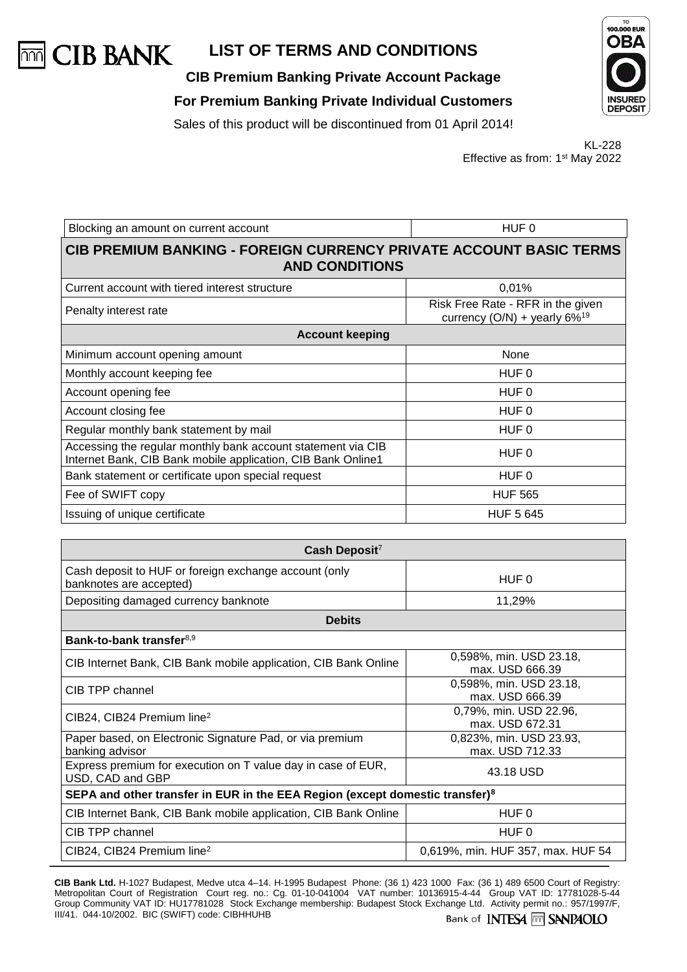

**CIB Premium Banking Private Account Package**

**For Premium Banking Private Individual Customers**

Sales of this product will be discontinued from 01 April 2014!



KL-228 Effective as from: 1st May 2022

| Blocking an amount on current account                                                                                        | HUF 0                                                                   |  |
|------------------------------------------------------------------------------------------------------------------------------|-------------------------------------------------------------------------|--|
| <b>CIB PREMIUM BANKING - FOREIGN CURRENCY PRIVATE ACCOUNT BASIC TERMS</b><br><b>AND CONDITIONS</b>                           |                                                                         |  |
| Current account with tiered interest structure                                                                               | 0,01%                                                                   |  |
| Penalty interest rate                                                                                                        | Risk Free Rate - RFR in the given<br>currency (O/N) + yearly $6\%^{19}$ |  |
| <b>Account keeping</b>                                                                                                       |                                                                         |  |
| Minimum account opening amount                                                                                               | None                                                                    |  |
| Monthly account keeping fee                                                                                                  | HUF 0                                                                   |  |
| Account opening fee                                                                                                          | HUF 0                                                                   |  |
| Account closing fee                                                                                                          | HUF 0                                                                   |  |
| Regular monthly bank statement by mail                                                                                       | HUF 0                                                                   |  |
| Accessing the regular monthly bank account statement via CIB<br>Internet Bank, CIB Bank mobile application, CIB Bank Online1 | HUF 0                                                                   |  |
| Bank statement or certificate upon special request                                                                           | HUF 0                                                                   |  |
| Fee of SWIFT copy                                                                                                            | <b>HUF 565</b>                                                          |  |
| Issuing of unique certificate                                                                                                | <b>HUF 5 645</b>                                                        |  |

| Cash Deposit <sup>7</sup>                                                                |                                            |  |
|------------------------------------------------------------------------------------------|--------------------------------------------|--|
| Cash deposit to HUF or foreign exchange account (only<br>banknotes are accepted)         | HUF 0                                      |  |
| Depositing damaged currency banknote                                                     | 11,29%                                     |  |
| <b>Debits</b>                                                                            |                                            |  |
| Bank-to-bank transfer <sup>8,9</sup>                                                     |                                            |  |
| CIB Internet Bank, CIB Bank mobile application, CIB Bank Online                          | 0,598%, min. USD 23.18,<br>max. USD 666.39 |  |
| CIB TPP channel                                                                          | 0,598%, min. USD 23.18,<br>max. USD 666.39 |  |
| $CIB24$ , CIB24 Premium line <sup>2</sup>                                                | 0,79%, min. USD 22.96,<br>max. USD 672.31  |  |
| Paper based, on Electronic Signature Pad, or via premium<br>banking advisor              | 0,823%, min. USD 23.93,<br>max. USD 712.33 |  |
| Express premium for execution on T value day in case of EUR,<br>USD, CAD and GBP         | 43.18 USD                                  |  |
| SEPA and other transfer in EUR in the EEA Region (except domestic transfer) <sup>8</sup> |                                            |  |
| CIB Internet Bank, CIB Bank mobile application, CIB Bank Online                          | HUF 0                                      |  |
| CIB TPP channel                                                                          | HUF 0                                      |  |
| $CIB24$ , CIB24 Premium line <sup>2</sup>                                                | 0,619%, min. HUF 357, max. HUF 54          |  |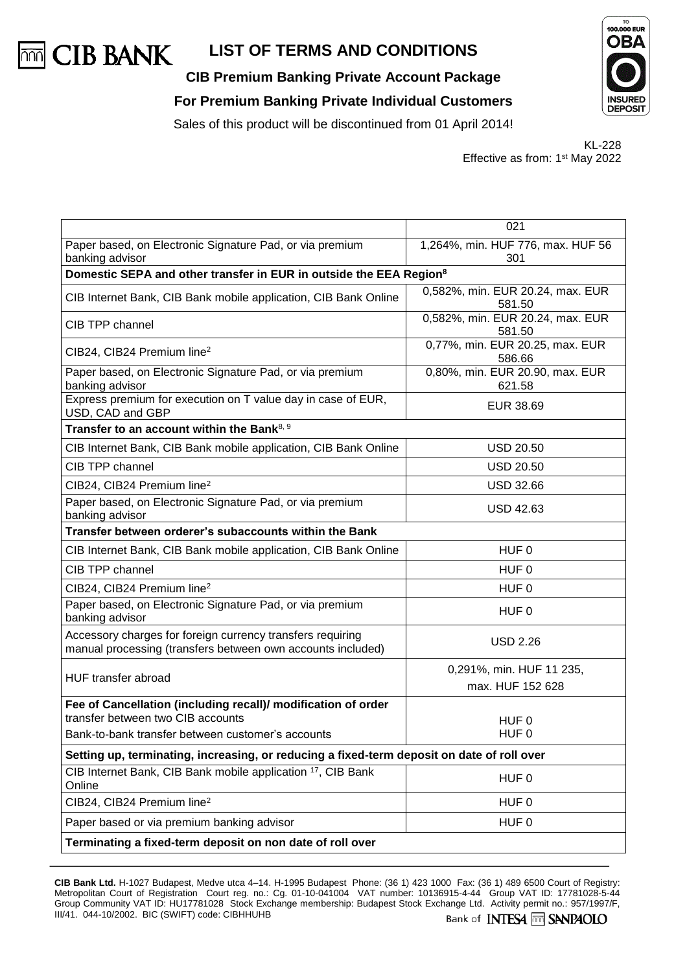

**CIB Premium Banking Private Account Package For Premium Banking Private Individual Customers**



Sales of this product will be discontinued from 01 April 2014!

KL-228 Effective as from: 1st May 2022

|                                                                                                                           | 021                                        |  |
|---------------------------------------------------------------------------------------------------------------------------|--------------------------------------------|--|
| Paper based, on Electronic Signature Pad, or via premium                                                                  | 1,264%, min. HUF 776, max. HUF 56          |  |
| banking advisor                                                                                                           | 301                                        |  |
| Domestic SEPA and other transfer in EUR in outside the EEA Region <sup>8</sup>                                            |                                            |  |
| CIB Internet Bank, CIB Bank mobile application, CIB Bank Online                                                           | 0,582%, min. EUR 20.24, max. EUR<br>581.50 |  |
| CIB TPP channel                                                                                                           | 0,582%, min. EUR 20.24, max. EUR           |  |
|                                                                                                                           | 581.50                                     |  |
| CIB24, CIB24 Premium line <sup>2</sup>                                                                                    | 0,77%, min. EUR 20.25, max. EUR<br>586.66  |  |
| Paper based, on Electronic Signature Pad, or via premium<br>banking advisor                                               | 0,80%, min. EUR 20.90, max. EUR<br>621.58  |  |
| Express premium for execution on T value day in case of EUR,<br>USD, CAD and GBP                                          | EUR 38.69                                  |  |
| Transfer to an account within the Bank <sup>8, 9</sup>                                                                    |                                            |  |
| CIB Internet Bank, CIB Bank mobile application, CIB Bank Online                                                           | <b>USD 20.50</b>                           |  |
| CIB TPP channel                                                                                                           | <b>USD 20.50</b>                           |  |
| CIB24, CIB24 Premium line <sup>2</sup>                                                                                    | <b>USD 32.66</b>                           |  |
| Paper based, on Electronic Signature Pad, or via premium<br>banking advisor                                               | <b>USD 42.63</b>                           |  |
| Transfer between orderer's subaccounts within the Bank                                                                    |                                            |  |
| CIB Internet Bank, CIB Bank mobile application, CIB Bank Online                                                           | HUF 0                                      |  |
| CIB TPP channel                                                                                                           | HUF <sub>0</sub>                           |  |
| CIB24, CIB24 Premium line <sup>2</sup>                                                                                    | HUF <sub>0</sub>                           |  |
| Paper based, on Electronic Signature Pad, or via premium<br>banking advisor                                               | HUF <sub>0</sub>                           |  |
| Accessory charges for foreign currency transfers requiring<br>manual processing (transfers between own accounts included) | <b>USD 2.26</b>                            |  |
| HUF transfer abroad                                                                                                       | 0,291%, min. HUF 11 235,                   |  |
|                                                                                                                           | max. HUF 152 628                           |  |
| Fee of Cancellation (including recall)/ modification of order                                                             |                                            |  |
| transfer between two CIB accounts                                                                                         | HUF <sub>0</sub>                           |  |
| Bank-to-bank transfer between customer's accounts                                                                         | HUF <sub>0</sub>                           |  |
| Setting up, terminating, increasing, or reducing a fixed-term deposit on date of roll over                                |                                            |  |
| CIB Internet Bank, CIB Bank mobile application <sup>17</sup> , CIB Bank<br>Online                                         | HUF <sub>0</sub>                           |  |
| CIB24, CIB24 Premium line <sup>2</sup>                                                                                    | HUF <sub>0</sub>                           |  |
| Paper based or via premium banking advisor                                                                                | HUF <sub>0</sub>                           |  |
| Terminating a fixed-term deposit on non date of roll over                                                                 |                                            |  |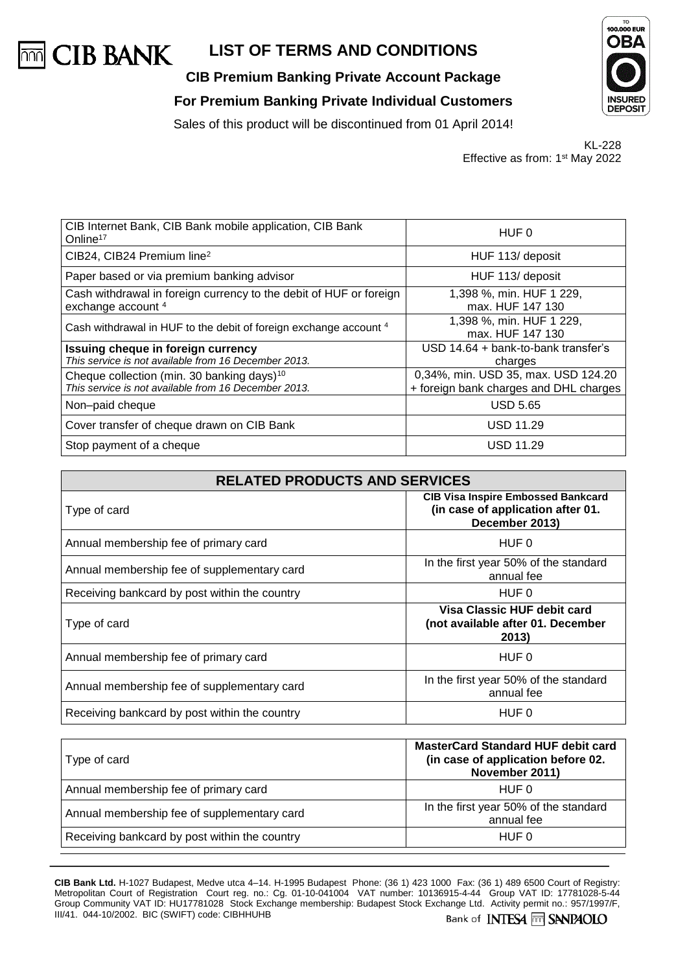

**CIB Premium Banking Private Account Package**





Sales of this product will be discontinued from 01 April 2014!

|                                             | KL-228 |
|---------------------------------------------|--------|
| Effective as from: 1 <sup>st</sup> May 2022 |        |

| CIB Internet Bank, CIB Bank mobile application, CIB Bank<br>Online <sup>17</sup>                    | HUF 0                                        |
|-----------------------------------------------------------------------------------------------------|----------------------------------------------|
| CIB24, CIB24 Premium line <sup>2</sup>                                                              | HUF 113/ deposit                             |
| Paper based or via premium banking advisor                                                          | HUF 113/ deposit                             |
| Cash withdrawal in foreign currency to the debit of HUF or foreign<br>exchange account <sup>4</sup> | 1,398 %, min. HUF 1 229,<br>max. HUF 147 130 |
| Cash withdrawal in HUF to the debit of foreign exchange account 4                                   | 1,398 %, min. HUF 1 229,<br>max. HUF 147 130 |
| Issuing cheque in foreign currency                                                                  | USD 14.64 + bank-to-bank transfer's          |
| This service is not available from 16 December 2013.                                                | charges                                      |
| Cheque collection (min. 30 banking days) <sup>10</sup>                                              | 0,34%, min. USD 35, max. USD 124.20          |
| This service is not available from 16 December 2013.                                                | + foreign bank charges and DHL charges       |
| Non-paid cheque                                                                                     | <b>USD 5.65</b>                              |
| Cover transfer of cheque drawn on CIB Bank                                                          | <b>USD 11.29</b>                             |
| Stop payment of a cheque                                                                            | USD 11.29                                    |
|                                                                                                     |                                              |

| <b>RELATED PRODUCTS AND SERVICES</b>          |                                                                                                  |
|-----------------------------------------------|--------------------------------------------------------------------------------------------------|
| Type of card                                  | <b>CIB Visa Inspire Embossed Bankcard</b><br>(in case of application after 01.<br>December 2013) |
| Annual membership fee of primary card         | HUF 0                                                                                            |
| Annual membership fee of supplementary card   | In the first year 50% of the standard<br>annual fee                                              |
| Receiving bankcard by post within the country | HUF 0                                                                                            |
| Type of card                                  | Visa Classic HUF debit card<br>(not available after 01. December<br>2013)                        |
| Annual membership fee of primary card         | HUF 0                                                                                            |
| Annual membership fee of supplementary card   | In the first year 50% of the standard<br>annual fee                                              |
| Receiving bankcard by post within the country | HUF 0                                                                                            |

| Type of card                                  | <b>MasterCard Standard HUF debit card</b><br>(in case of application before 02.<br>November 2011) |
|-----------------------------------------------|---------------------------------------------------------------------------------------------------|
| Annual membership fee of primary card         | HUF 0                                                                                             |
| Annual membership fee of supplementary card   | In the first year 50% of the standard<br>annual fee                                               |
| Receiving bankcard by post within the country | HUF 0                                                                                             |
|                                               |                                                                                                   |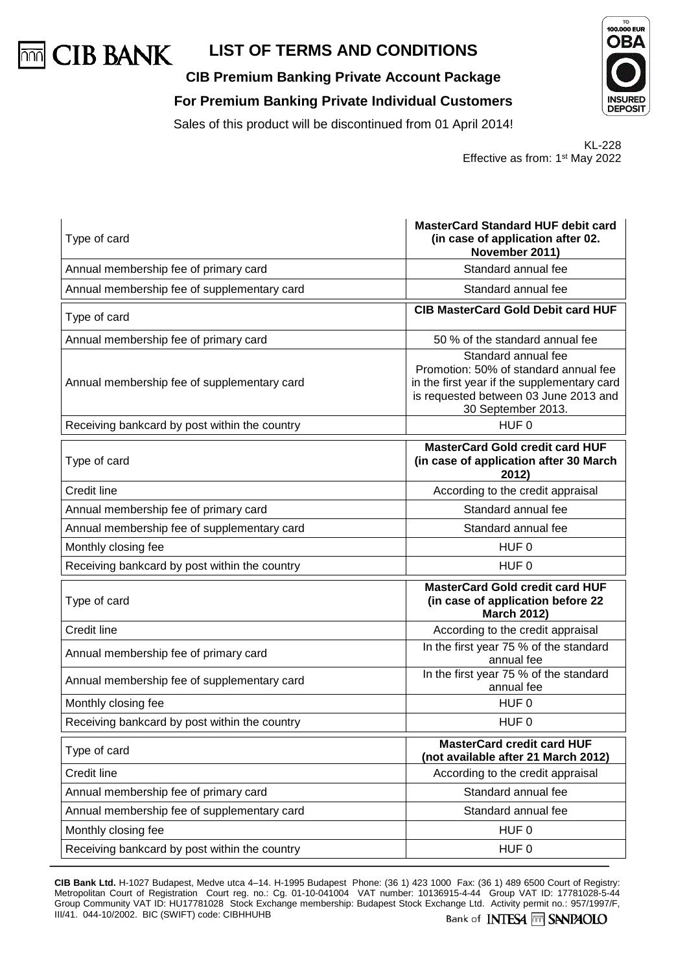

**CIB Premium Banking Private Account Package For Premium Banking Private Individual Customers**





KL-228 Effective as from: 1st May 2022

| Type of card                                  | <b>MasterCard Standard HUF debit card</b><br>(in case of application after 02.<br>November 2011)                                                                           |
|-----------------------------------------------|----------------------------------------------------------------------------------------------------------------------------------------------------------------------------|
| Annual membership fee of primary card         | Standard annual fee                                                                                                                                                        |
| Annual membership fee of supplementary card   | Standard annual fee                                                                                                                                                        |
| Type of card                                  | <b>CIB MasterCard Gold Debit card HUF</b>                                                                                                                                  |
| Annual membership fee of primary card         | 50 % of the standard annual fee                                                                                                                                            |
| Annual membership fee of supplementary card   | Standard annual fee<br>Promotion: 50% of standard annual fee<br>in the first year if the supplementary card<br>is requested between 03 June 2013 and<br>30 September 2013. |
| Receiving bankcard by post within the country | HUF <sub>0</sub>                                                                                                                                                           |
| Type of card                                  | <b>MasterCard Gold credit card HUF</b><br>(in case of application after 30 March<br>2012)                                                                                  |
| Credit line                                   | According to the credit appraisal                                                                                                                                          |
| Annual membership fee of primary card         | Standard annual fee                                                                                                                                                        |
| Annual membership fee of supplementary card   | Standard annual fee                                                                                                                                                        |
| Monthly closing fee                           | HUF 0                                                                                                                                                                      |
| Receiving bankcard by post within the country | HUF 0                                                                                                                                                                      |
| Type of card                                  | <b>MasterCard Gold credit card HUF</b><br>(in case of application before 22<br><b>March 2012)</b>                                                                          |
| <b>Credit line</b>                            | According to the credit appraisal                                                                                                                                          |
| Annual membership fee of primary card         | In the first year 75 % of the standard<br>annual fee                                                                                                                       |
| Annual membership fee of supplementary card   | In the first year 75 % of the standard<br>annual fee                                                                                                                       |
| Monthly closing fee                           | HUF <sub>0</sub>                                                                                                                                                           |
| Receiving bankcard by post within the country | HUF 0                                                                                                                                                                      |
| Type of card                                  | <b>MasterCard credit card HUF</b><br>(not available after 21 March 2012)                                                                                                   |
| Credit line                                   | According to the credit appraisal                                                                                                                                          |
| Annual membership fee of primary card         | Standard annual fee                                                                                                                                                        |
| Annual membership fee of supplementary card   | Standard annual fee                                                                                                                                                        |
| Monthly closing fee                           | HUF <sub>0</sub>                                                                                                                                                           |
| Receiving bankcard by post within the country | HUF <sub>0</sub>                                                                                                                                                           |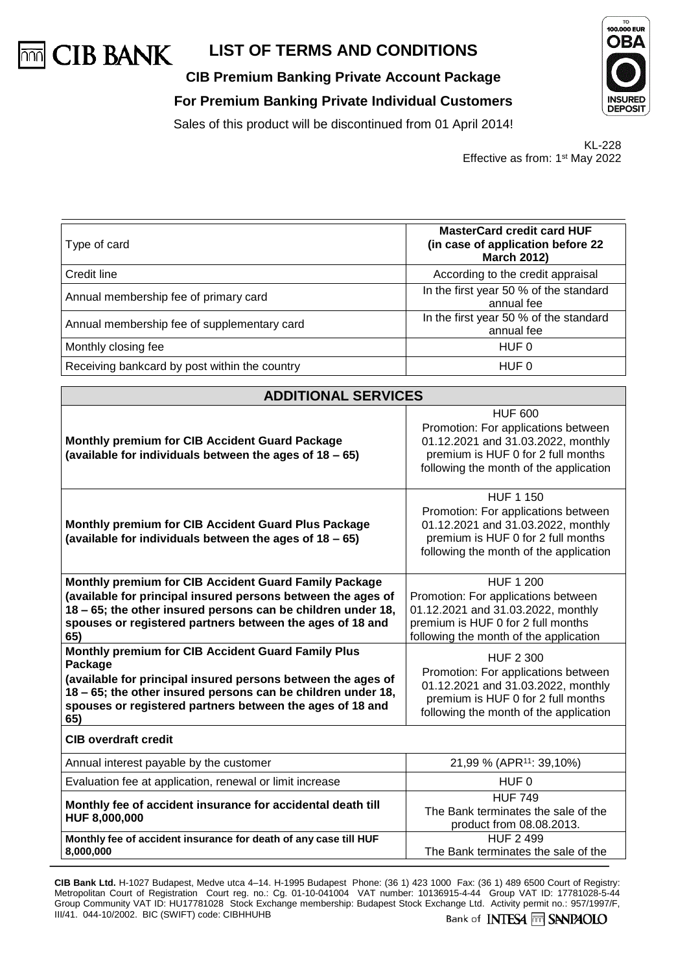

# **CIB Premium Banking Private Account Package For Premium Banking Private Individual Customers**



Sales of this product will be discontinued from 01 April 2014!

KL-228 Effective as from: 1st May 2022

| Type of card                                  | <b>MasterCard credit card HUF</b><br>(in case of application before 22<br><b>March 2012)</b> |
|-----------------------------------------------|----------------------------------------------------------------------------------------------|
| Credit line                                   | According to the credit appraisal                                                            |
| Annual membership fee of primary card         | In the first year 50 % of the standard<br>annual fee                                         |
| Annual membership fee of supplementary card   | In the first year 50 % of the standard<br>annual fee                                         |
| Monthly closing fee                           | HUF 0                                                                                        |
| Receiving bankcard by post within the country | HUF 0                                                                                        |

| <b>ADDITIONAL SERVICES</b>                                                                                                                                                                                                                                        |                                                                                                                                                                               |  |  |
|-------------------------------------------------------------------------------------------------------------------------------------------------------------------------------------------------------------------------------------------------------------------|-------------------------------------------------------------------------------------------------------------------------------------------------------------------------------|--|--|
| <b>Monthly premium for CIB Accident Guard Package</b><br>(available for individuals between the ages of 18 - 65)                                                                                                                                                  | <b>HUF 600</b><br>Promotion: For applications between<br>01.12.2021 and 31.03.2022, monthly<br>premium is HUF 0 for 2 full months<br>following the month of the application   |  |  |
| Monthly premium for CIB Accident Guard Plus Package<br>(available for individuals between the ages of 18 - 65)                                                                                                                                                    | <b>HUF 1 150</b><br>Promotion: For applications between<br>01.12.2021 and 31.03.2022, monthly<br>premium is HUF 0 for 2 full months<br>following the month of the application |  |  |
| Monthly premium for CIB Accident Guard Family Package<br>(available for principal insured persons between the ages of<br>18 - 65; the other insured persons can be children under 18,<br>spouses or registered partners between the ages of 18 and<br>65)         | <b>HUF 1 200</b><br>Promotion: For applications between<br>01.12.2021 and 31.03.2022, monthly<br>premium is HUF 0 for 2 full months<br>following the month of the application |  |  |
| Monthly premium for CIB Accident Guard Family Plus<br>Package<br>(available for principal insured persons between the ages of<br>18 - 65; the other insured persons can be children under 18,<br>spouses or registered partners between the ages of 18 and<br>65) | <b>HUF 2 300</b><br>Promotion: For applications between<br>01.12.2021 and 31.03.2022, monthly<br>premium is HUF 0 for 2 full months<br>following the month of the application |  |  |
| <b>CIB overdraft credit</b>                                                                                                                                                                                                                                       |                                                                                                                                                                               |  |  |
| Annual interest payable by the customer                                                                                                                                                                                                                           | 21,99 % (APR <sup>11</sup> : 39,10%)                                                                                                                                          |  |  |
| Evaluation fee at application, renewal or limit increase                                                                                                                                                                                                          | HUF <sub>0</sub>                                                                                                                                                              |  |  |
| Monthly fee of accident insurance for accidental death till<br>HUF 8,000,000                                                                                                                                                                                      | <b>HUF 749</b><br>The Bank terminates the sale of the<br>product from 08.08.2013.                                                                                             |  |  |
| Monthly fee of accident insurance for death of any case till HUF<br>8,000,000                                                                                                                                                                                     | <b>HUF 2 499</b><br>The Bank terminates the sale of the                                                                                                                       |  |  |

**CIB Bank Ltd.** H-1027 Budapest, Medve utca 4–14. H-1995 Budapest Phone: (36 1) 423 1000 Fax: (36 1) 489 6500 Court of Registry: Metropolitan Court of Registration Court reg. no.: Cg. 01-10-041004 VAT number: 10136915-4-44 Group VAT ID: 17781028-5-44 Group Community VAT ID: HU17781028 Stock Exchange membership: Budapest Stock Exchange Ltd. Activity permit no.: 957/1997/F, III/41. 044-10/2002. BIC (SWIFT) code: CIBHHUHB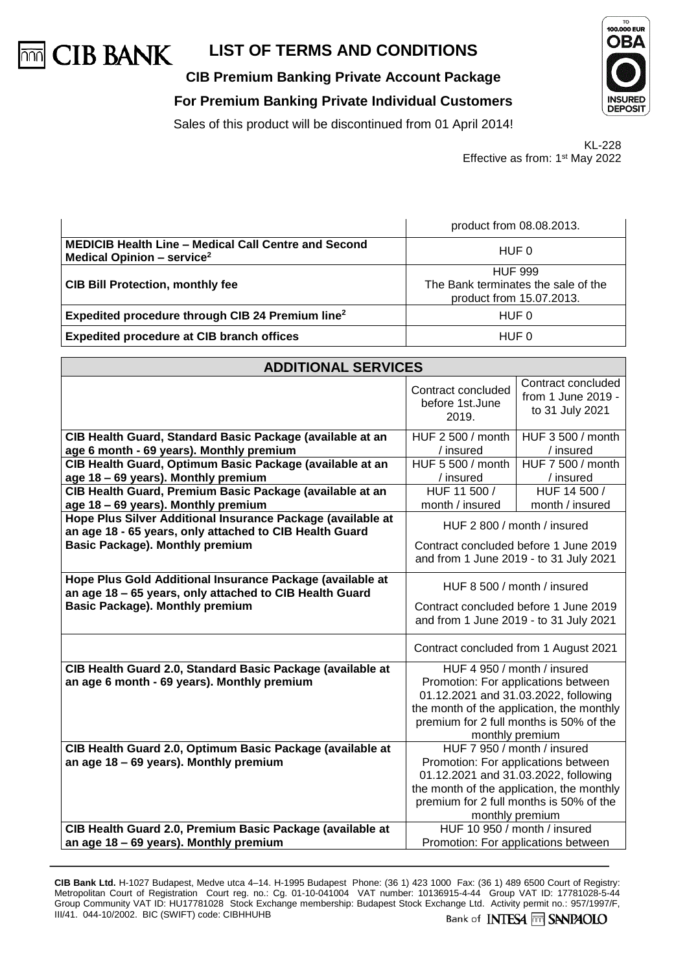

**CIB Premium Banking Private Account Package**

**For Premium Banking Private Individual Customers**





KL-228 Effective as from: 1st May 2022

|                                                                                                              | product from 08.08.2013.                                                          |  |
|--------------------------------------------------------------------------------------------------------------|-----------------------------------------------------------------------------------|--|
| <b>MEDICIB Health Line - Medical Call Centre and Second</b><br><b>Medical Opinion - service</b> <sup>2</sup> | HUF 0                                                                             |  |
| <b>CIB Bill Protection, monthly fee</b>                                                                      | <b>HUF 999</b><br>The Bank terminates the sale of the<br>product from 15.07.2013. |  |
| Expedited procedure through CIB 24 Premium line <sup>2</sup>                                                 | HUF 0                                                                             |  |
| <b>Expedited procedure at CIB branch offices</b>                                                             | HUF 0                                                                             |  |

| <b>ADDITIONAL SERVICES</b>                                                                                             |                                                                                                                                                                                                                       |                                                             |  |
|------------------------------------------------------------------------------------------------------------------------|-----------------------------------------------------------------------------------------------------------------------------------------------------------------------------------------------------------------------|-------------------------------------------------------------|--|
|                                                                                                                        | Contract concluded<br>before 1st.June<br>2019.                                                                                                                                                                        | Contract concluded<br>from 1 June 2019 -<br>to 31 July 2021 |  |
| CIB Health Guard, Standard Basic Package (available at an<br>age 6 month - 69 years). Monthly premium                  | HUF 2 500 / month<br>/ insured                                                                                                                                                                                        | HUF 3 500 / month<br>/ insured                              |  |
| CIB Health Guard, Optimum Basic Package (available at an<br>age 18 - 69 years). Monthly premium                        | HUF 5 500 / month<br>/ insured                                                                                                                                                                                        | HUF 7 500 / month<br>/ insured                              |  |
| CIB Health Guard, Premium Basic Package (available at an<br>age 18 - 69 years). Monthly premium                        | HUF 11 500 /<br>HUF 14 500 /<br>month / insured<br>month / insured                                                                                                                                                    |                                                             |  |
| Hope Plus Silver Additional Insurance Package (available at<br>an age 18 - 65 years, only attached to CIB Health Guard | HUF 2 800 / month / insured                                                                                                                                                                                           |                                                             |  |
| Basic Package). Monthly premium                                                                                        | Contract concluded before 1 June 2019<br>and from 1 June 2019 - to 31 July 2021                                                                                                                                       |                                                             |  |
| Hope Plus Gold Additional Insurance Package (available at<br>an age 18 - 65 years, only attached to CIB Health Guard   | HUF 8 500 / month / insured                                                                                                                                                                                           |                                                             |  |
| <b>Basic Package). Monthly premium</b>                                                                                 | Contract concluded before 1 June 2019<br>and from 1 June 2019 - to 31 July 2021                                                                                                                                       |                                                             |  |
|                                                                                                                        | Contract concluded from 1 August 2021                                                                                                                                                                                 |                                                             |  |
| CIB Health Guard 2.0, Standard Basic Package (available at<br>an age 6 month - 69 years). Monthly premium              | HUF 4 950 / month / insured<br>Promotion: For applications between<br>01.12.2021 and 31.03.2022, following<br>the month of the application, the monthly<br>premium for 2 full months is 50% of the<br>monthly premium |                                                             |  |
| CIB Health Guard 2.0, Optimum Basic Package (available at<br>an age 18 - 69 years). Monthly premium                    | HUF 7 950 / month / insured<br>Promotion: For applications between                                                                                                                                                    |                                                             |  |
|                                                                                                                        | 01.12.2021 and 31.03.2022, following<br>the month of the application, the monthly<br>premium for 2 full months is 50% of the<br>monthly premium                                                                       |                                                             |  |
| CIB Health Guard 2.0, Premium Basic Package (available at<br>an age 18 - 69 years). Monthly premium                    | HUF 10 950 / month / insured<br>Promotion: For applications between                                                                                                                                                   |                                                             |  |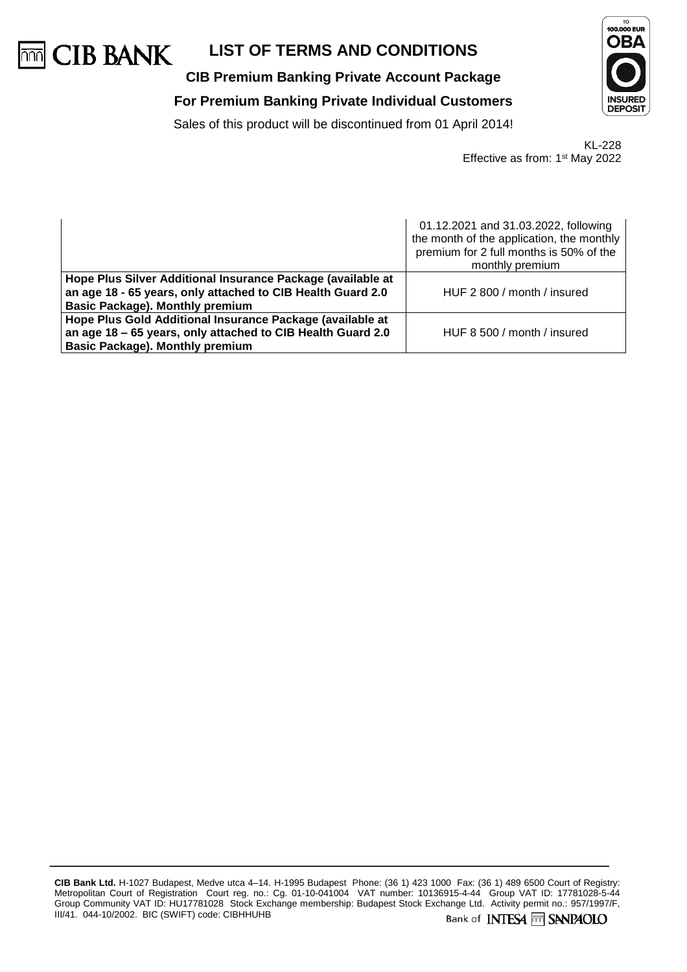

# **CIB Premium Banking Private Account Package For Premium Banking Private Individual Customers**



Sales of this product will be discontinued from 01 April 2014!

KL-228 Effective as from: 1st May 2022

|                                                                                                                                                                      | 01.12.2021 and 31.03.2022, following<br>the month of the application, the monthly<br>premium for 2 full months is 50% of the<br>monthly premium |  |
|----------------------------------------------------------------------------------------------------------------------------------------------------------------------|-------------------------------------------------------------------------------------------------------------------------------------------------|--|
| Hope Plus Silver Additional Insurance Package (available at<br>an age 18 - 65 years, only attached to CIB Health Guard 2.0<br><b>Basic Package). Monthly premium</b> | HUF 2 800 / month / insured                                                                                                                     |  |
| Hope Plus Gold Additional Insurance Package (available at<br>an age 18 - 65 years, only attached to CIB Health Guard 2.0<br><b>Basic Package). Monthly premium</b>   | HUF 8 500 / month / insured                                                                                                                     |  |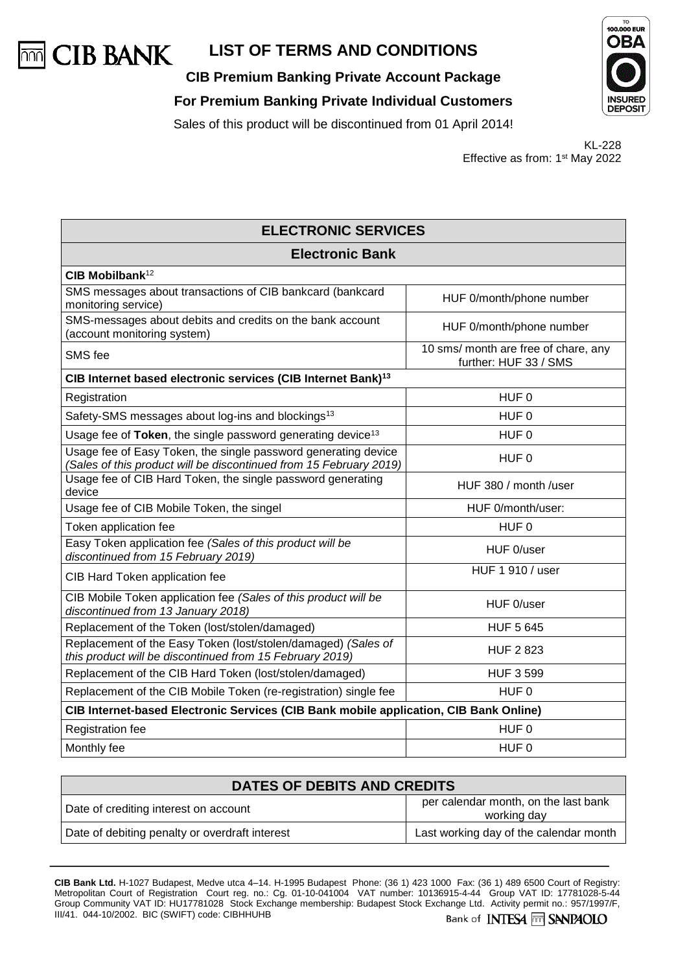

**CIB Premium Banking Private Account Package**

**For Premium Banking Private Individual Customers**





KL-228 Effective as from: 1st May 2022

| <b>ELECTRONIC SERVICES</b>                                                                                                           |                                                               |  |
|--------------------------------------------------------------------------------------------------------------------------------------|---------------------------------------------------------------|--|
| <b>Electronic Bank</b>                                                                                                               |                                                               |  |
| CIB Mobilbank <sup>12</sup>                                                                                                          |                                                               |  |
| SMS messages about transactions of CIB bankcard (bankcard<br>monitoring service)                                                     | HUF 0/month/phone number                                      |  |
| SMS-messages about debits and credits on the bank account<br>(account monitoring system)                                             | HUF 0/month/phone number                                      |  |
| SMS fee                                                                                                                              | 10 sms/ month are free of chare, any<br>further: HUF 33 / SMS |  |
| CIB Internet based electronic services (CIB Internet Bank) <sup>13</sup>                                                             |                                                               |  |
| Registration                                                                                                                         | HUF <sub>0</sub>                                              |  |
| Safety-SMS messages about log-ins and blockings <sup>13</sup>                                                                        | HUF <sub>0</sub>                                              |  |
| Usage fee of Token, the single password generating device <sup>13</sup>                                                              | HUF <sub>0</sub>                                              |  |
| Usage fee of Easy Token, the single password generating device<br>(Sales of this product will be discontinued from 15 February 2019) | HUF <sub>0</sub>                                              |  |
| Usage fee of CIB Hard Token, the single password generating<br>device                                                                | HUF 380 / month /user                                         |  |
| Usage fee of CIB Mobile Token, the singel                                                                                            | HUF 0/month/user:                                             |  |
| Token application fee                                                                                                                | HUF <sub>0</sub>                                              |  |
| Easy Token application fee (Sales of this product will be<br>discontinued from 15 February 2019)                                     | HUF 0/user                                                    |  |
| CIB Hard Token application fee                                                                                                       | HUF 1 910 / user                                              |  |
| CIB Mobile Token application fee (Sales of this product will be<br>discontinued from 13 January 2018)                                | HUF 0/user                                                    |  |
| Replacement of the Token (lost/stolen/damaged)                                                                                       | <b>HUF 5 645</b>                                              |  |
| Replacement of the Easy Token (lost/stolen/damaged) (Sales of<br>this product will be discontinued from 15 February 2019)            | <b>HUF 2 823</b>                                              |  |
| Replacement of the CIB Hard Token (lost/stolen/damaged)                                                                              | <b>HUF 3 599</b>                                              |  |
| Replacement of the CIB Mobile Token (re-registration) single fee<br>HUF <sub>0</sub>                                                 |                                                               |  |
| CIB Internet-based Electronic Services (CIB Bank mobile application, CIB Bank Online)                                                |                                                               |  |
| Registration fee                                                                                                                     | HUF 0                                                         |  |
| Monthly fee                                                                                                                          | HUF <sub>0</sub>                                              |  |

| DATES OF DEBITS AND CREDITS                    |                                                     |  |
|------------------------------------------------|-----------------------------------------------------|--|
| Date of crediting interest on account          | per calendar month, on the last bank<br>working day |  |
| Date of debiting penalty or overdraft interest | Last working day of the calendar month              |  |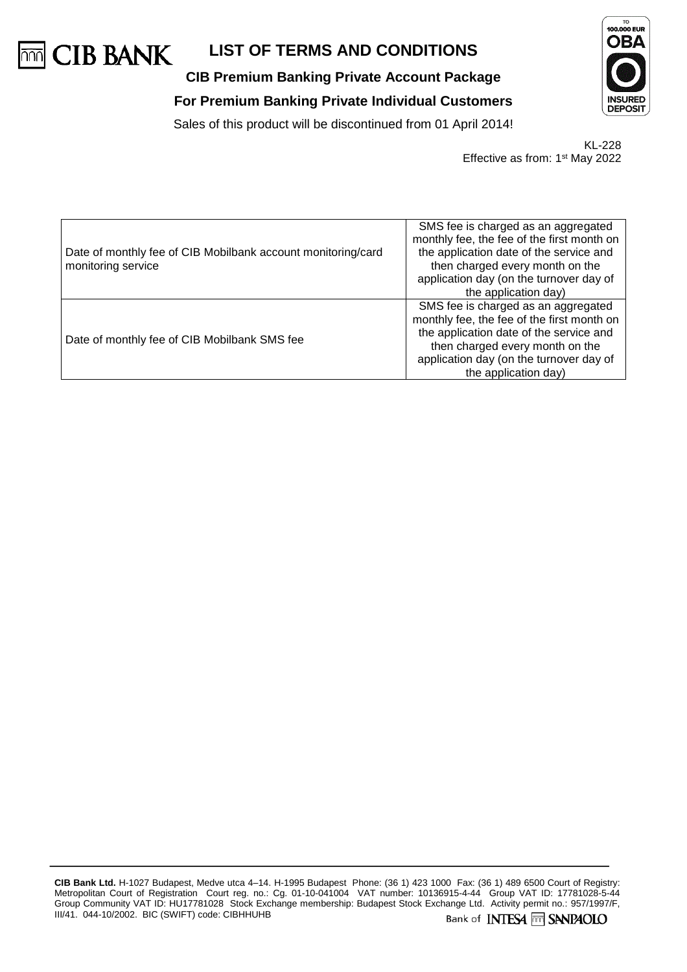

# **CIB Premium Banking Private Account Package For Premium Banking Private Individual Customers**



Sales of this product will be discontinued from 01 April 2014!

KL-228 Effective as from: 1st May 2022

| Date of monthly fee of CIB Mobilbank account monitoring/card<br>monitoring service | SMS fee is charged as an aggregated<br>monthly fee, the fee of the first month on<br>the application date of the service and<br>then charged every month on the<br>application day (on the turnover day of<br>the application day) |
|------------------------------------------------------------------------------------|------------------------------------------------------------------------------------------------------------------------------------------------------------------------------------------------------------------------------------|
| Date of monthly fee of CIB Mobilbank SMS fee                                       | SMS fee is charged as an aggregated<br>monthly fee, the fee of the first month on<br>the application date of the service and<br>then charged every month on the<br>application day (on the turnover day of<br>the application day) |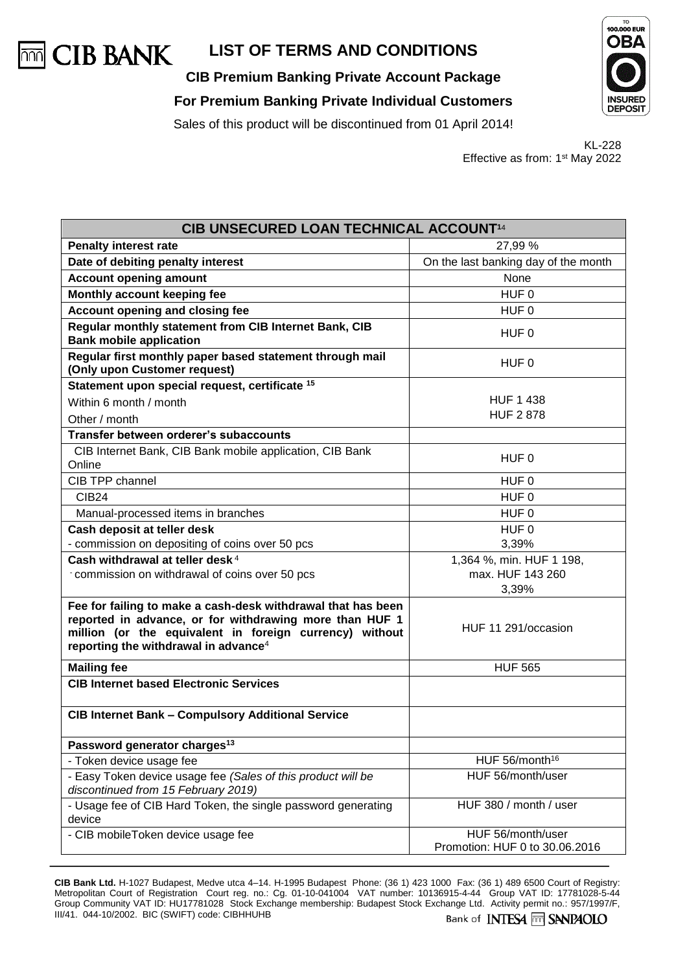

**CIB Premium Banking Private Account Package For Premium Banking Private Individual Customers**





Sales of this product will be discontinued from 01 April 2014!

KL-228 Effective as from: 1st May 2022

| CIB UNSECURED LOAN TECHNICAL ACCOUNT <sup>14</sup>                                                                                                                                                                                     |                                                     |  |  |
|----------------------------------------------------------------------------------------------------------------------------------------------------------------------------------------------------------------------------------------|-----------------------------------------------------|--|--|
| <b>Penalty interest rate</b>                                                                                                                                                                                                           | 27,99 %                                             |  |  |
| Date of debiting penalty interest                                                                                                                                                                                                      | On the last banking day of the month                |  |  |
| <b>Account opening amount</b>                                                                                                                                                                                                          | None                                                |  |  |
| Monthly account keeping fee                                                                                                                                                                                                            | HUF 0                                               |  |  |
| Account opening and closing fee                                                                                                                                                                                                        | HUF <sub>0</sub>                                    |  |  |
| Regular monthly statement from CIB Internet Bank, CIB<br><b>Bank mobile application</b>                                                                                                                                                | HUF 0                                               |  |  |
| Regular first monthly paper based statement through mail<br>(Only upon Customer request)                                                                                                                                               | HUF 0                                               |  |  |
| Statement upon special request, certificate 15                                                                                                                                                                                         |                                                     |  |  |
| Within 6 month / month                                                                                                                                                                                                                 | <b>HUF 1 438</b>                                    |  |  |
| Other / month                                                                                                                                                                                                                          | <b>HUF 2 878</b>                                    |  |  |
| Transfer between orderer's subaccounts                                                                                                                                                                                                 |                                                     |  |  |
| CIB Internet Bank, CIB Bank mobile application, CIB Bank<br>Online                                                                                                                                                                     | HUF 0                                               |  |  |
| CIB TPP channel                                                                                                                                                                                                                        | HUF 0                                               |  |  |
| <b>CIB24</b>                                                                                                                                                                                                                           | HUF <sub>0</sub>                                    |  |  |
| Manual-processed items in branches                                                                                                                                                                                                     | HUF 0                                               |  |  |
| Cash deposit at teller desk                                                                                                                                                                                                            | HUF <sub>0</sub>                                    |  |  |
| - commission on depositing of coins over 50 pcs                                                                                                                                                                                        | 3,39%                                               |  |  |
| Cash withdrawal at teller desk <sup>4</sup>                                                                                                                                                                                            | 1,364 %, min. HUF 1 198,                            |  |  |
| commission on withdrawal of coins over 50 pcs                                                                                                                                                                                          | max. HUF 143 260                                    |  |  |
|                                                                                                                                                                                                                                        | 3,39%                                               |  |  |
| Fee for failing to make a cash-desk withdrawal that has been<br>reported in advance, or for withdrawing more than HUF 1<br>million (or the equivalent in foreign currency) without<br>reporting the withdrawal in advance <sup>4</sup> | HUF 11 291/occasion                                 |  |  |
| <b>Mailing fee</b>                                                                                                                                                                                                                     | <b>HUF 565</b>                                      |  |  |
| <b>CIB Internet based Electronic Services</b>                                                                                                                                                                                          |                                                     |  |  |
| <b>CIB Internet Bank - Compulsory Additional Service</b>                                                                                                                                                                               |                                                     |  |  |
| Password generator charges <sup>13</sup>                                                                                                                                                                                               |                                                     |  |  |
| - Token device usage fee                                                                                                                                                                                                               | HUF 56/month <sup>16</sup>                          |  |  |
| - Easy Token device usage fee (Sales of this product will be<br>discontinued from 15 February 2019)                                                                                                                                    | HUF 56/month/user                                   |  |  |
| - Usage fee of CIB Hard Token, the single password generating<br>device                                                                                                                                                                | HUF 380 / month / user                              |  |  |
| - CIB mobileToken device usage fee                                                                                                                                                                                                     | HUF 56/month/user<br>Promotion: HUF 0 to 30.06.2016 |  |  |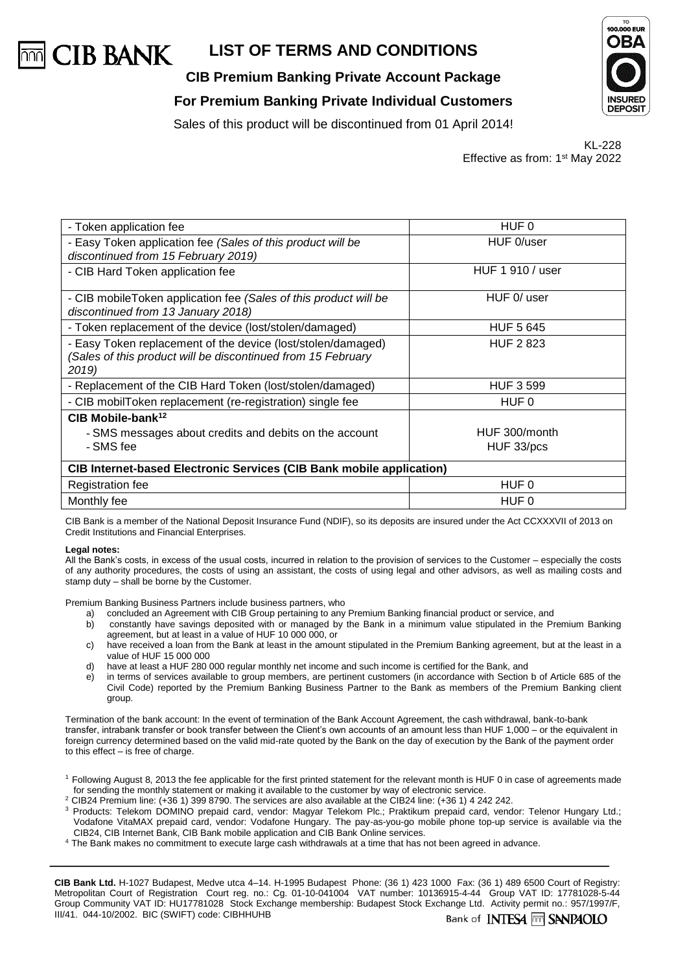

**CIB Premium Banking Private Account Package**





Sales of this product will be discontinued from 01 April 2014!

KL-228 Effective as from: 1st May 2022

| HUF 0                                                                       |  |  |  |
|-----------------------------------------------------------------------------|--|--|--|
| HUF 0/user                                                                  |  |  |  |
| HUF 1 910 / user                                                            |  |  |  |
| HUF 0/ user                                                                 |  |  |  |
| <b>HUF 5 645</b>                                                            |  |  |  |
| <b>HUF 2823</b>                                                             |  |  |  |
| <b>HUF 3 599</b>                                                            |  |  |  |
| HUF 0                                                                       |  |  |  |
|                                                                             |  |  |  |
| HUF 300/month                                                               |  |  |  |
| HUF 33/pcs                                                                  |  |  |  |
| <b>CIB Internet-based Electronic Services (CIB Bank mobile application)</b> |  |  |  |
| HUF 0                                                                       |  |  |  |
| HUF 0                                                                       |  |  |  |
|                                                                             |  |  |  |

CIB Bank is a member of the National Deposit Insurance Fund (NDIF), so its deposits are insured under the Act CCXXXVII of 2013 on Credit Institutions and Financial Enterprises.

#### **Legal notes:**

All the Bank's costs, in excess of the usual costs, incurred in relation to the provision of services to the Customer – especially the costs of any authority procedures, the costs of using an assistant, the costs of using legal and other advisors, as well as mailing costs and stamp duty – shall be borne by the Customer.

Premium Banking Business Partners include business partners, who

- a) concluded an Agreement with CIB Group pertaining to any Premium Banking financial product or service, and
- b) constantly have savings deposited with or managed by the Bank in a minimum value stipulated in the Premium Banking agreement, but at least in a value of HUF 10 000 000, or
- c) have received a loan from the Bank at least in the amount stipulated in the Premium Banking agreement, but at the least in a value of HUF 15 000 000
- d) have at least a HUF 280 000 regular monthly net income and such income is certified for the Bank, and
- e) in terms of services available to group members, are pertinent customers (in accordance with Section b of Article 685 of the Civil Code) reported by the Premium Banking Business Partner to the Bank as members of the Premium Banking client group.

Termination of the bank account: In the event of termination of the Bank Account Agreement, the cash withdrawal, bank-to-bank transfer, intrabank transfer or book transfer between the Client's own accounts of an amount less than HUF 1,000 – or the equivalent in foreign currency determined based on the valid mid-rate quoted by the Bank on the day of execution by the Bank of the payment order to this effect  $-$  is free of charge.

- <sup>1</sup> Following August 8, 2013 the fee applicable for the first printed statement for the relevant month is HUF 0 in case of agreements made for sending the monthly statement or making it available to the customer by way of electronic service.
- <sup>2</sup> CIB24 Premium line: (+36 1) 399 8790. The services are also available at the CIB24 line: (+36 1) 4 242 242.
- <sup>3</sup> Products: Telekom DOMINO prepaid card, vendor: Magyar Telekom Plc.; Praktikum prepaid card, vendor: Telenor Hungary Ltd.; Vodafone VitaMAX prepaid card, vendor: Vodafone Hungary. The pay-as-you-go mobile phone top-up service is available via the CIB24, CIB Internet Bank, CIB Bank mobile application and CIB Bank Online services.
- <sup>4</sup> The Bank makes no commitment to execute large cash withdrawals at a time that has not been agreed in advance.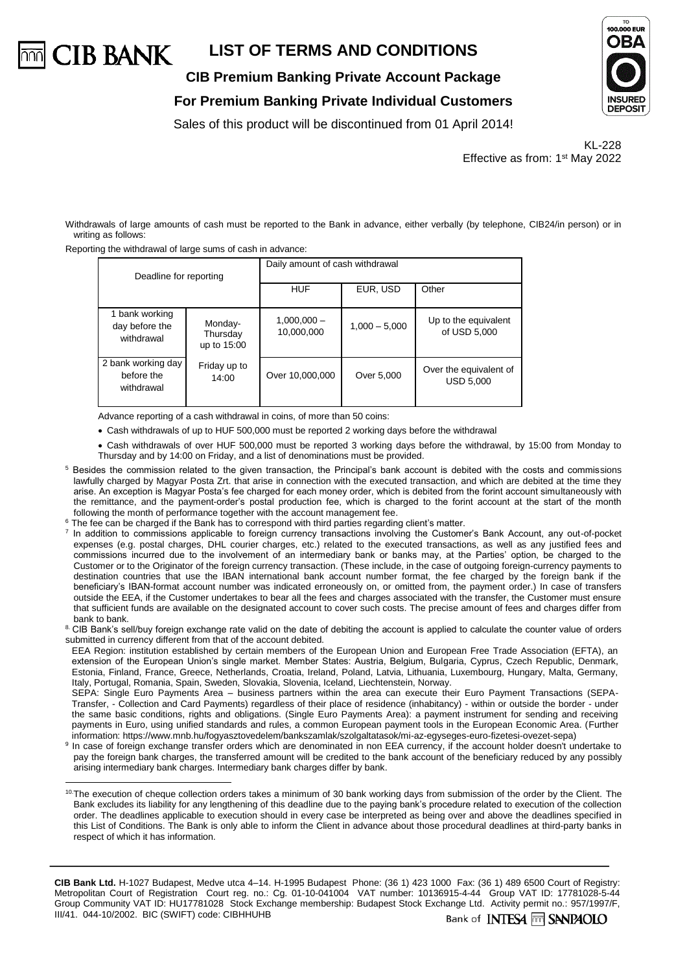

**CIB Premium Banking Private Account Package**

**For Premium Banking Private Individual Customers**





KL-228 Effective as from: 1st May 2022

Withdrawals of large amounts of cash must be reported to the Bank in advance, either verbally (by telephone, CIB24/in person) or in writing as follows:

Reporting the withdrawal of large sums of cash in advance:

| Deadline for reporting                         |                                    | Daily amount of cash withdrawal |                 |                                            |  |  |
|------------------------------------------------|------------------------------------|---------------------------------|-----------------|--------------------------------------------|--|--|
|                                                |                                    | <b>HUF</b>                      | EUR, USD        | Other                                      |  |  |
| 1 bank working<br>day before the<br>withdrawal | Monday-<br>Thursday<br>up to 15:00 | $1.000.000 -$<br>10,000,000     | $1,000 - 5,000$ | Up to the equivalent<br>of USD 5,000       |  |  |
| 2 bank working day<br>before the<br>withdrawal | Friday up to<br>14:00              | Over 10,000,000                 | Over 5,000      | Over the equivalent of<br><b>USD 5,000</b> |  |  |

Advance reporting of a cash withdrawal in coins, of more than 50 coins:

• Cash withdrawals of up to HUF 500,000 must be reported 2 working days before the withdrawal

• Cash withdrawals of over HUF 500,000 must be reported 3 working days before the withdrawal, by 15:00 from Monday to Thursday and by 14:00 on Friday, and a list of denominations must be provided.

- <sup>5</sup> Besides the commission related to the given transaction, the Principal's bank account is debited with the costs and commissions lawfully charged by Magyar Posta Zrt. that arise in connection with the executed transaction, and which are debited at the time they arise. An exception is Magyar Posta's fee charged for each money order, which is debited from the forint account simultaneously with the remittance, and the payment-order's postal production fee, which is charged to the forint account at the start of the month following the month of performance together with the account management fee.
- <sup>6</sup> The fee can be charged if the Bank has to correspond with third parties regarding client's matter.
- 7 In addition to commissions applicable to foreign currency transactions involving the Customer's Bank Account, any out-of-pocket expenses (e.g. postal charges, DHL courier charges, etc.) related to the executed transactions, as well as any justified fees and commissions incurred due to the involvement of an intermediary bank or banks may, at the Parties' option, be charged to the Customer or to the Originator of the foreign currency transaction. (These include, in the case of outgoing foreign-currency payments to destination countries that use the IBAN international bank account number format, the fee charged by the foreign bank if the beneficiary's IBAN-format account number was indicated erroneously on, or omitted from, the payment order.) In case of transfers outside the EEA, if the Customer undertakes to bear all the fees and charges associated with the transfer, the Customer must ensure that sufficient funds are available on the designated account to cover such costs. The precise amount of fees and charges differ from bank to bank.
- 8. CIB Bank's sell/buy foreign exchange rate valid on the date of debiting the account is applied to calculate the counter value of orders submitted in currency different from that of the account debited.

EEA Region: institution established by certain members of the European Union and European Free Trade Association (EFTA), an extension of the European Union's single market. Member States: Austria, Belgium, Bulgaria, Cyprus, Czech Republic, Denmark, Estonia, Finland, France, Greece, Netherlands, Croatia, Ireland, Poland, Latvia, Lithuania, Luxembourg, Hungary, Malta, Germany, Italy, Portugal, Romania, Spain, Sweden, Slovakia, Slovenia, Iceland, Liechtenstein, Norway.

SEPA: Single Euro Payments Area – business partners within the area can execute their Euro Payment Transactions (SEPA-Transfer, - Collection and Card Payments) regardless of their place of residence (inhabitancy) - within or outside the border - under the same basic conditions, rights and obligations. (Single Euro Payments Area): a payment instrument for sending and receiving payments in Euro, using unified standards and rules, a common European payment tools in the European Economic Area. (Further information[: https://www.mnb.hu/fogyasztovedelem/bankszamlak/szolgaltatasok/mi-az-egyseges-euro-fizetesi-ovezet-sepa\)](https://www.mnb.hu/fogyasztovedelem/bankszamlak/szolgaltatasok/mi-az-egyseges-euro-fizetesi-ovezet-sepa)

<sup>9</sup> In case of foreign exchange transfer orders which are denominated in non EEA currency, if the account holder doesn't undertake to pay the foreign bank charges, the transferred amount will be credited to the bank account of the beneficiary reduced by any possibly arising intermediary bank charges. Intermediary bank charges differ by bank.

 $\overline{a}$ <sup>10.</sup>The execution of cheque collection orders takes a minimum of 30 bank working days from submission of the order by the Client. The Bank excludes its liability for any lengthening of this deadline due to the paying bank's procedure related to execution of the collection order. The deadlines applicable to execution should in every case be interpreted as being over and above the deadlines specified in this List of Conditions. The Bank is only able to inform the Client in advance about those procedural deadlines at third-party banks in respect of which it has information.